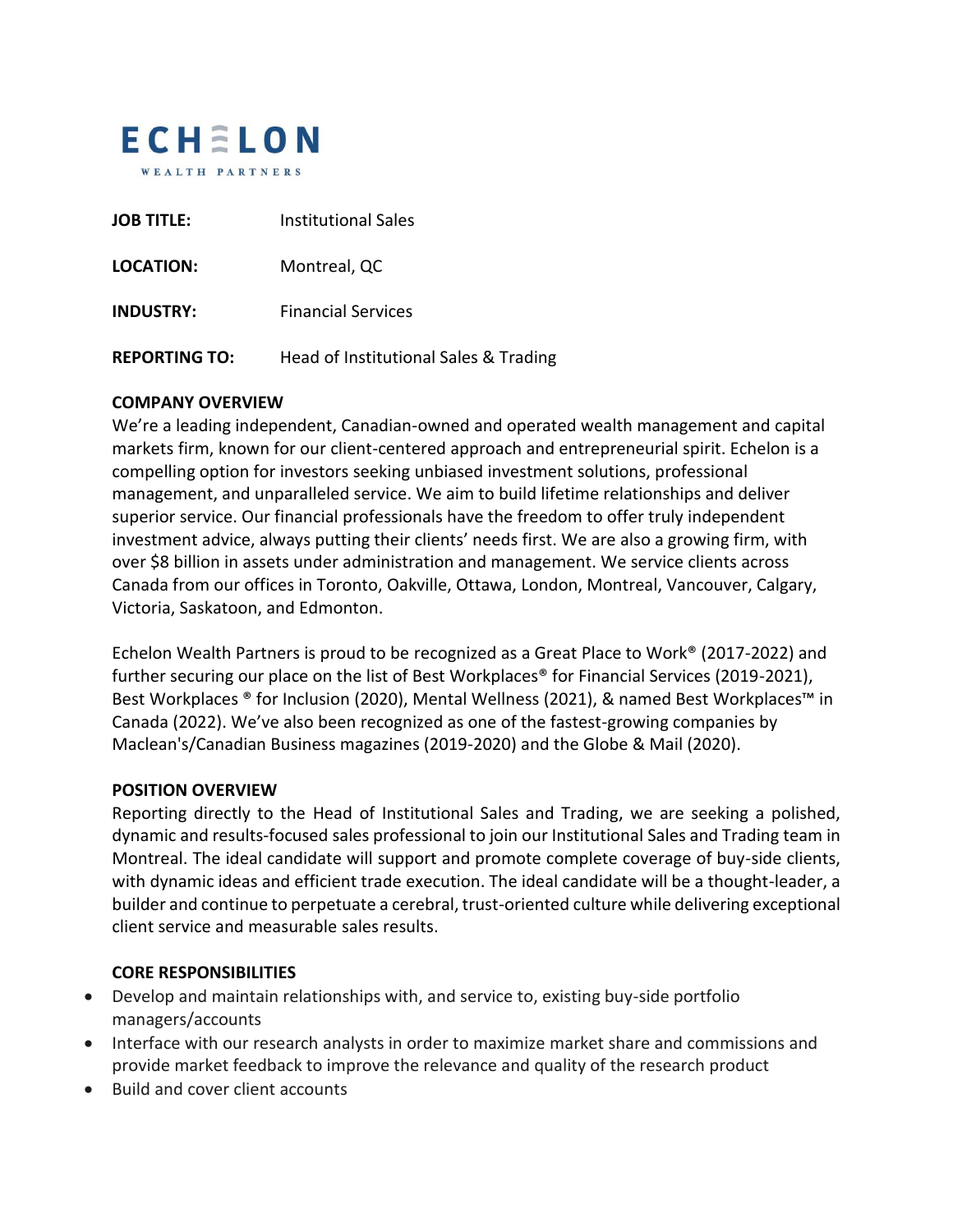

| <b>JOB TITLE:</b>    | <b>Institutional Sales</b>            |
|----------------------|---------------------------------------|
| <b>LOCATION:</b>     | Montreal, QC                          |
| <b>INDUSTRY:</b>     | <b>Financial Services</b>             |
| <b>REPORTING TO:</b> | Head of Institutional Sales & Trading |

### **COMPANY OVERVIEW**

We're a leading independent, Canadian-owned and operated wealth management and capital markets firm, known for our client-centered approach and entrepreneurial spirit. Echelon is a compelling option for investors seeking unbiased investment solutions, professional management, and unparalleled service. We aim to build lifetime relationships and deliver superior service. Our financial professionals have the freedom to offer truly independent investment advice, always putting their clients' needs first. We are also a growing firm, with over \$8 billion in assets under administration and management. We service clients across Canada from our offices in Toronto, Oakville, Ottawa, London, Montreal, Vancouver, Calgary, Victoria, Saskatoon, and Edmonton.

Echelon Wealth Partners is proud to be recognized as a Great Place to Work® (2017-2022) and further securing our place on the list of Best Workplaces<sup>®</sup> for Financial Services (2019-2021), Best Workplaces ® for Inclusion (2020), Mental Wellness (2021), & named Best Workplaces™ in Canada (2022). We've also been recognized as one of the fastest-growing companies by Maclean's/Canadian Business magazines (2019-2020) and the Globe & Mail (2020).

#### **POSITION OVERVIEW**

Reporting directly to the Head of Institutional Sales and Trading, we are seeking a polished, dynamic and results-focused sales professional to join our Institutional Sales and Trading team in Montreal. The ideal candidate will support and promote complete coverage of buy-side clients, with dynamic ideas and efficient trade execution. The ideal candidate will be a thought-leader, a builder and continue to perpetuate a cerebral, trust-oriented culture while delivering exceptional client service and measurable sales results.

#### **CORE RESPONSIBILITIES**

- Develop and maintain relationships with, and service to, existing buy-side portfolio managers/accounts
- Interface with our research analysts in order to maximize market share and commissions and provide market feedback to improve the relevance and quality of the research product
- Build and cover client accounts